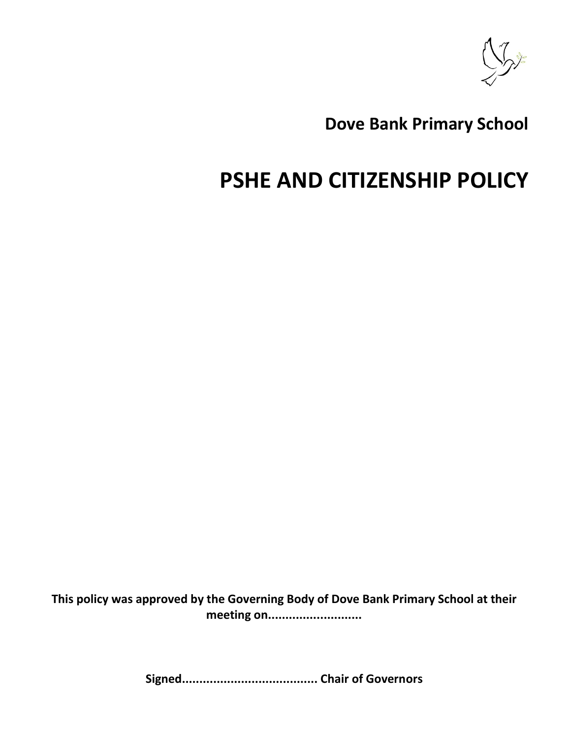

# **Dove Bank Primary School**

# **PSHE AND CITIZENSHIP POLICY**

**This policy was approved by the Governing Body of Dove Bank Primary School at their meeting on...........................**

**Signed....................................... Chair of Governors**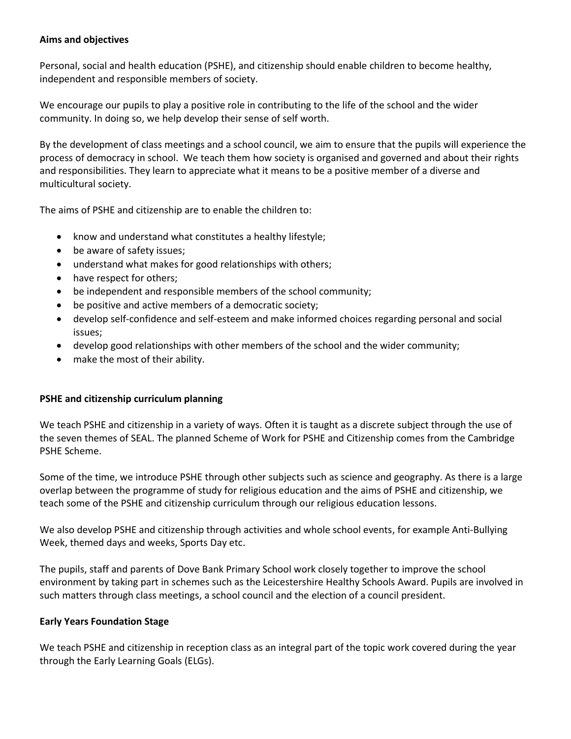# **Aims and objectives**

Personal, social and health education (PSHE), and citizenship should enable children to become healthy, independent and responsible members of society.

We encourage our pupils to play a positive role in contributing to the life of the school and the wider community. In doing so, we help develop their sense of self worth.

By the development of class meetings and a school council, we aim to ensure that the pupils will experience the process of democracy in school. We teach them how society is organised and governed and about their rights and responsibilities. They learn to appreciate what it means to be a positive member of a diverse and multicultural society.

The aims of PSHE and citizenship are to enable the children to:

- know and understand what constitutes a healthy lifestyle;
- be aware of safety issues;
- understand what makes for good relationships with others;
- have respect for others;
- be independent and responsible members of the school community;
- be positive and active members of a democratic society;
- develop self-confidence and self-esteem and make informed choices regarding personal and social issues;
- develop good relationships with other members of the school and the wider community;
- make the most of their ability.

# **PSHE and citizenship curriculum planning**

We teach PSHE and citizenship in a variety of ways. Often it is taught as a discrete subject through the use of the seven themes of SEAL. The planned Scheme of Work for PSHE and Citizenship comes from the Cambridge PSHE Scheme.

Some of the time, we introduce PSHE through other subjects such as science and geography. As there is a large overlap between the programme of study for religious education and the aims of PSHE and citizenship, we teach some of the PSHE and citizenship curriculum through our religious education lessons.

We also develop PSHE and citizenship through activities and whole school events, for example Anti-Bullying Week, themed days and weeks, Sports Day etc.

The pupils, staff and parents of Dove Bank Primary School work closely together to improve the school environment by taking part in schemes such as the Leicestershire Healthy Schools Award. Pupils are involved in such matters through class meetings, a school council and the election of a council president.

# **Early Years Foundation Stage**

We teach PSHE and citizenship in reception class as an integral part of the topic work covered during the year through the Early Learning Goals (ELGs).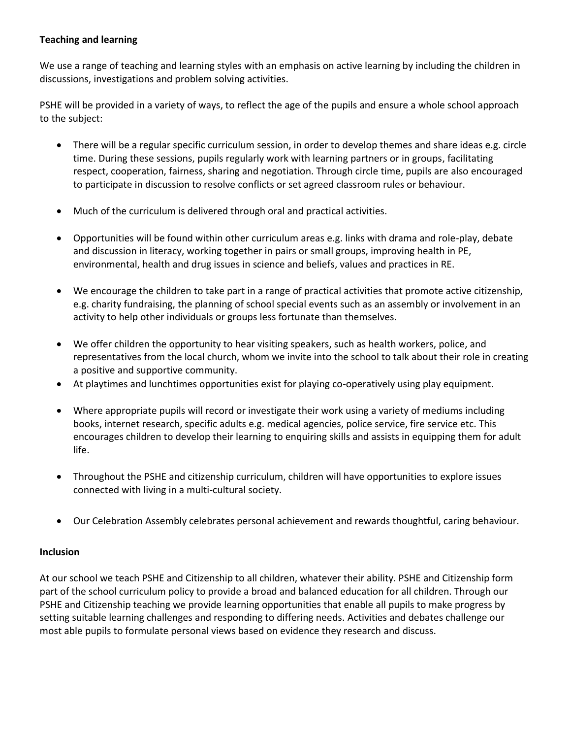# **Teaching and learning**

We use a range of teaching and learning styles with an emphasis on active learning by including the children in discussions, investigations and problem solving activities.

PSHE will be provided in a variety of ways, to reflect the age of the pupils and ensure a whole school approach to the subject:

- There will be a regular specific curriculum session, in order to develop themes and share ideas e.g. circle time. During these sessions, pupils regularly work with learning partners or in groups, facilitating respect, cooperation, fairness, sharing and negotiation. Through circle time, pupils are also encouraged to participate in discussion to resolve conflicts or set agreed classroom rules or behaviour.
- Much of the curriculum is delivered through oral and practical activities.
- Opportunities will be found within other curriculum areas e.g. links with drama and role-play, debate and discussion in literacy, working together in pairs or small groups, improving health in PE, environmental, health and drug issues in science and beliefs, values and practices in RE.
- We encourage the children to take part in a range of practical activities that promote active citizenship, e.g. charity fundraising, the planning of school special events such as an assembly or involvement in an activity to help other individuals or groups less fortunate than themselves.
- We offer children the opportunity to hear visiting speakers, such as health workers, police, and representatives from the local church, whom we invite into the school to talk about their role in creating a positive and supportive community.
- At playtimes and lunchtimes opportunities exist for playing co-operatively using play equipment.
- Where appropriate pupils will record or investigate their work using a variety of mediums including books, internet research, specific adults e.g. medical agencies, police service, fire service etc. This encourages children to develop their learning to enquiring skills and assists in equipping them for adult life.
- Throughout the PSHE and citizenship curriculum, children will have opportunities to explore issues connected with living in a multi-cultural society.
- Our Celebration Assembly celebrates personal achievement and rewards thoughtful, caring behaviour.

# **Inclusion**

At our school we teach PSHE and Citizenship to all children, whatever their ability. PSHE and Citizenship form part of the school curriculum policy to provide a broad and balanced education for all children. Through our PSHE and Citizenship teaching we provide learning opportunities that enable all pupils to make progress by setting suitable learning challenges and responding to differing needs. Activities and debates challenge our most able pupils to formulate personal views based on evidence they research and discuss.